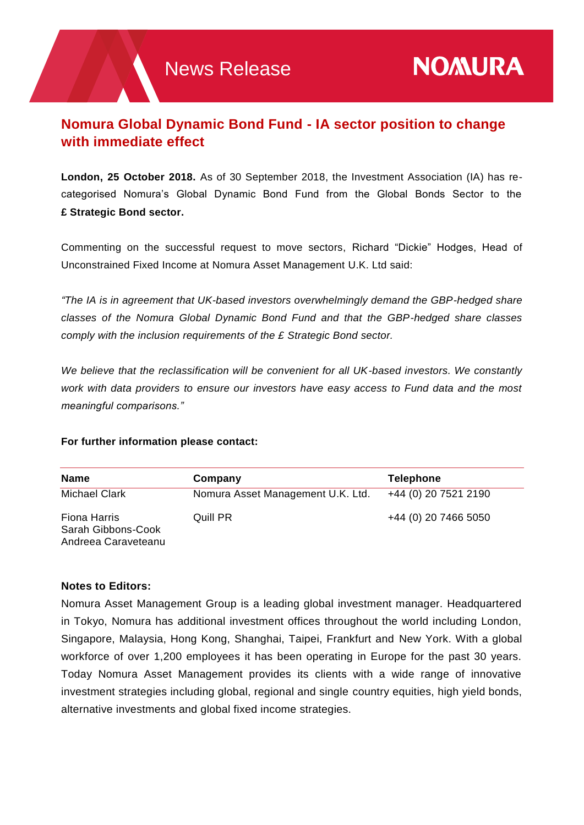## **Nomura Global Dynamic Bond Fund - IA sector position to change with immediate effect**

**London, 25 October 2018.** As of 30 September 2018, the Investment Association (IA) has recategorised Nomura's Global Dynamic Bond Fund from the Global Bonds Sector to the **£ Strategic Bond sector.**

Commenting on the successful request to move sectors, Richard "Dickie" Hodges, Head of Unconstrained Fixed Income at Nomura Asset Management U.K. Ltd said:

*"The IA is in agreement that UK-based investors overwhelmingly demand the GBP-hedged share classes of the Nomura Global Dynamic Bond Fund and that the GBP-hedged share classes comply with the inclusion requirements of the £ Strategic Bond sector.* 

*We believe that the reclassification will be convenient for all UK-based investors. We constantly work with data providers to ensure our investors have easy access to Fund data and the most meaningful comparisons."*

## **For further information please contact:**

| <b>Name</b>                                               | Company                           | <b>Telephone</b>     |
|-----------------------------------------------------------|-----------------------------------|----------------------|
| Michael Clark                                             | Nomura Asset Management U.K. Ltd. | +44 (0) 20 7521 2190 |
| Fiona Harris<br>Sarah Gibbons-Cook<br>Andreea Caraveteanu | Quill PR                          | +44 (0) 20 7466 5050 |

## **Notes to Editors:**

Nomura Asset Management Group is a leading global investment manager. Headquartered in Tokyo, Nomura has additional investment offices throughout the world including London, Singapore, Malaysia, Hong Kong, Shanghai, Taipei, Frankfurt and New York. With a global workforce of over 1,200 employees it has been operating in Europe for the past 30 years. Today Nomura Asset Management provides its clients with a wide range of innovative investment strategies including global, regional and single country equities, high yield bonds, alternative investments and global fixed income strategies.